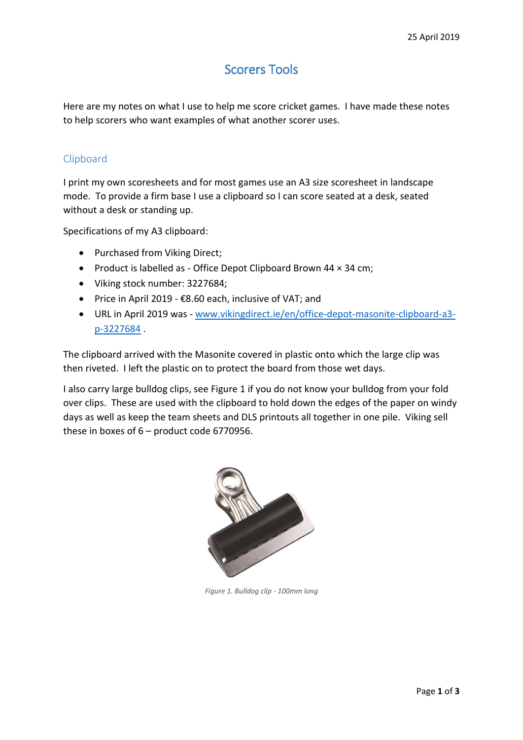# Scorers Tools

Here are my notes on what I use to help me score cricket games. I have made these notes to help scorers who want examples of what another scorer uses.

## Clipboard

I print my own scoresheets and for most games use an A3 size scoresheet in landscape mode. To provide a firm base I use a clipboard so I can score seated at a desk, seated without a desk or standing up.

Specifications of my A3 clipboard:

- Purchased from Viking Direct;
- Product is labelled as Office Depot Clipboard Brown 44 x 34 cm;
- Viking stock number: 3227684;
- Price in April 2019  $$8.60$  each, inclusive of VAT; and
- URL in April 2019 was [www.vikingdirect.ie/en/office-depot-masonite-clipboard-a3](http://www.vikingdirect.ie/en/office-depot-masonite-clipboard-a3-p-3227684) [p-3227684](http://www.vikingdirect.ie/en/office-depot-masonite-clipboard-a3-p-3227684) .

The clipboard arrived with the Masonite covered in plastic onto which the large clip was then riveted. I left the plastic on to protect the board from those wet days.

I also carry large bulldog clips, see [Figure 1](#page-0-0) if you do not know your bulldog from your fold over clips. These are used with the clipboard to hold down the edges of the paper on windy days as well as keep the team sheets and DLS printouts all together in one pile. Viking sell these in boxes of 6 – product code 6770956.

<span id="page-0-0"></span>

*Figure 1. Bulldog clip - 100mm long*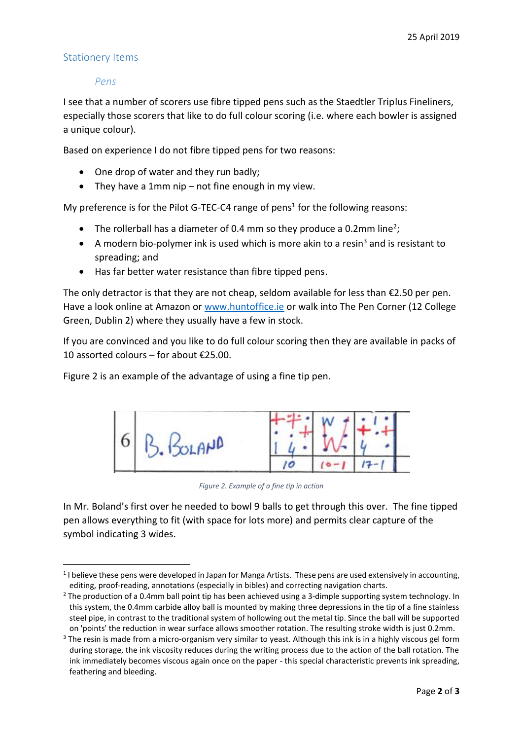## Stationery Items

**.** 

#### *Pens*

I see that a number of scorers use fibre tipped pens such as the Staedtler Triplus Fineliners, especially those scorers that like to do full colour scoring (i.e. where each bowler is assigned a unique colour).

Based on experience I do not fibre tipped pens for two reasons:

- One drop of water and they run badly;
- They have a 1mm nip not fine enough in my view.

My preference is for the Pilot G-TEC-C4 range of pens<sup>1</sup> for the following reasons:

- The rollerball has a diameter of 0.4 mm so they produce a 0.2mm line<sup>2</sup>;
- A modern bio-polymer ink is used which is more akin to a resin<sup>3</sup> and is resistant to spreading; and
- Has far better water resistance than fibre tipped pens.

The only detractor is that they are not cheap, seldom available for less than €2.50 per pen. Have a look online at Amazon o[r www.huntoffice.ie](http://www.huntoffice.ie/) or walk into The Pen Corner (12 College Green, Dublin 2) where they usually have a few in stock.

If you are convinced and you like to do full colour scoring then they are available in packs of 10 assorted colours – for about €25.00.

[Figure 2](#page-1-0) is an example of the advantage of using a fine tip pen.



*Figure 2. Example of a fine tip in action*

<span id="page-1-0"></span>In Mr. Boland's first over he needed to bowl 9 balls to get through this over. The fine tipped pen allows everything to fit (with space for lots more) and permits clear capture of the symbol indicating 3 wides.

<sup>&</sup>lt;sup>1</sup> I believe these pens were developed in Japan for Manga Artists. These pens are used extensively in accounting, editing, proof-reading, annotations (especially in bibles) and correcting navigation charts.

<sup>&</sup>lt;sup>2</sup> The production of a 0.4mm ball point tip has been achieved using a 3-dimple supporting system technology. In this system, the 0.4mm carbide alloy ball is mounted by making three depressions in the tip of a fine stainless steel pipe, in contrast to the traditional system of hollowing out the metal tip. Since the ball will be supported on 'points' the reduction in wear surface allows smoother rotation. The resulting stroke width is just 0.2mm.

<sup>&</sup>lt;sup>3</sup> The resin is made from a micro-organism very similar to yeast. Although this ink is in a highly viscous gel form during storage, the ink viscosity reduces during the writing process due to the action of the ball rotation. The ink immediately becomes viscous again once on the paper - this special characteristic prevents ink spreading, feathering and bleeding.